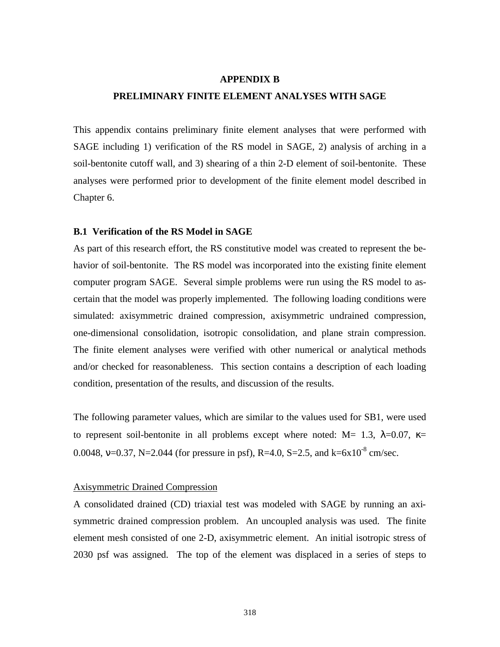#### **APPENDIX B**

# **PRELIMINARY FINITE ELEMENT ANALYSES WITH SAGE**

This appendix contains preliminary finite element analyses that were performed with SAGE including 1) verification of the RS model in SAGE, 2) analysis of arching in a soil-bentonite cutoff wall, and 3) shearing of a thin 2-D element of soil-bentonite. These analyses were performed prior to development of the finite element model described in Chapter 6.

### **B.1 Verification of the RS Model in SAGE**

As part of this research effort, the RS constitutive model was created to represent the behavior of soil-bentonite. The RS model was incorporated into the existing finite element computer program SAGE. Several simple problems were run using the RS model to ascertain that the model was properly implemented. The following loading conditions were simulated: axisymmetric drained compression, axisymmetric undrained compression, one-dimensional consolidation, isotropic consolidation, and plane strain compression. The finite element analyses were verified with other numerical or analytical methods and/or checked for reasonableness. This section contains a description of each loading condition, presentation of the results, and discussion of the results.

The following parameter values, which are similar to the values used for SB1, were used to represent soil-bentonite in all problems except where noted: M= 1.3,  $\lambda$ =0.07, κ= 0.0048,  $v=0.37$ , N=2.044 (for pressure in psf), R=4.0, S=2.5, and k=6x10<sup>-8</sup> cm/sec.

#### Axisymmetric Drained Compression

A consolidated drained (CD) triaxial test was modeled with SAGE by running an axisymmetric drained compression problem. An uncoupled analysis was used. The finite element mesh consisted of one 2-D, axisymmetric element. An initial isotropic stress of 2030 psf was assigned. The top of the element was displaced in a series of steps to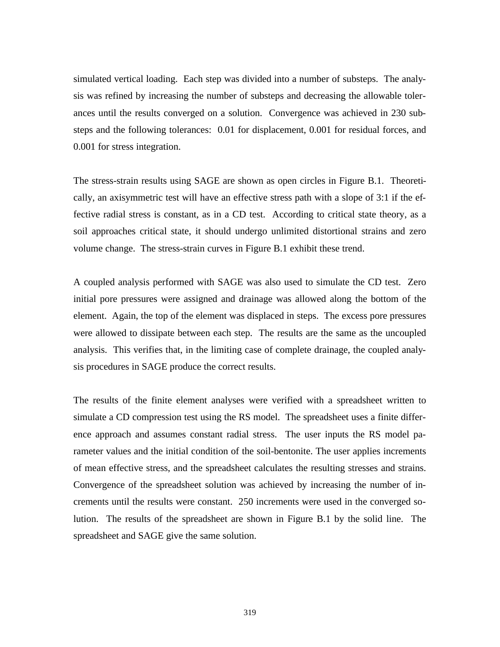simulated vertical loading. Each step was divided into a number of substeps. The analysis was refined by increasing the number of substeps and decreasing the allowable tolerances until the results converged on a solution. Convergence was achieved in 230 substeps and the following tolerances: 0.01 for displacement, 0.001 for residual forces, and 0.001 for stress integration.

The stress-strain results using SAGE are shown as open circles in Figure B.1. Theoretically, an axisymmetric test will have an effective stress path with a slope of 3:1 if the effective radial stress is constant, as in a CD test. According to critical state theory, as a soil approaches critical state, it should undergo unlimited distortional strains and zero volume change. The stress-strain curves in Figure B.1 exhibit these trend.

A coupled analysis performed with SAGE was also used to simulate the CD test. Zero initial pore pressures were assigned and drainage was allowed along the bottom of the element. Again, the top of the element was displaced in steps. The excess pore pressures were allowed to dissipate between each step. The results are the same as the uncoupled analysis. This verifies that, in the limiting case of complete drainage, the coupled analysis procedures in SAGE produce the correct results.

The results of the finite element analyses were verified with a spreadsheet written to simulate a CD compression test using the RS model. The spreadsheet uses a finite difference approach and assumes constant radial stress. The user inputs the RS model parameter values and the initial condition of the soil-bentonite. The user applies increments of mean effective stress, and the spreadsheet calculates the resulting stresses and strains. Convergence of the spreadsheet solution was achieved by increasing the number of increments until the results were constant. 250 increments were used in the converged solution. The results of the spreadsheet are shown in Figure B.1 by the solid line. The spreadsheet and SAGE give the same solution.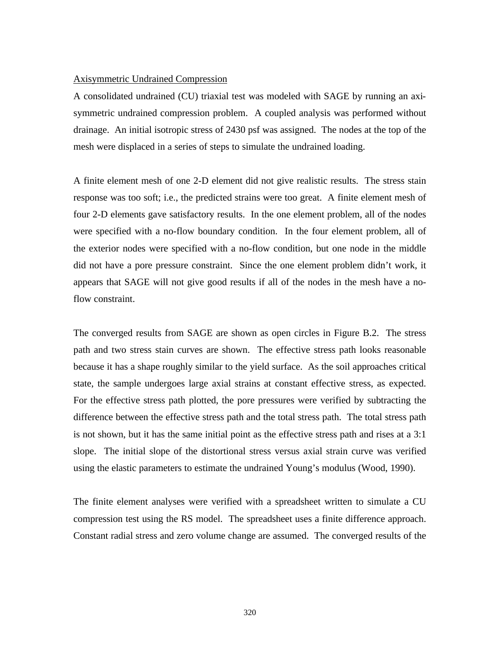### Axisymmetric Undrained Compression

A consolidated undrained (CU) triaxial test was modeled with SAGE by running an axisymmetric undrained compression problem. A coupled analysis was performed without drainage. An initial isotropic stress of 2430 psf was assigned. The nodes at the top of the mesh were displaced in a series of steps to simulate the undrained loading.

A finite element mesh of one 2-D element did not give realistic results. The stress stain response was too soft; i.e., the predicted strains were too great. A finite element mesh of four 2-D elements gave satisfactory results. In the one element problem, all of the nodes were specified with a no-flow boundary condition. In the four element problem, all of the exterior nodes were specified with a no-flow condition, but one node in the middle did not have a pore pressure constraint. Since the one element problem didn't work, it appears that SAGE will not give good results if all of the nodes in the mesh have a noflow constraint.

The converged results from SAGE are shown as open circles in Figure B.2. The stress path and two stress stain curves are shown. The effective stress path looks reasonable because it has a shape roughly similar to the yield surface. As the soil approaches critical state, the sample undergoes large axial strains at constant effective stress, as expected. For the effective stress path plotted, the pore pressures were verified by subtracting the difference between the effective stress path and the total stress path. The total stress path is not shown, but it has the same initial point as the effective stress path and rises at a 3:1 slope. The initial slope of the distortional stress versus axial strain curve was verified using the elastic parameters to estimate the undrained Young's modulus (Wood, 1990).

The finite element analyses were verified with a spreadsheet written to simulate a CU compression test using the RS model. The spreadsheet uses a finite difference approach. Constant radial stress and zero volume change are assumed. The converged results of the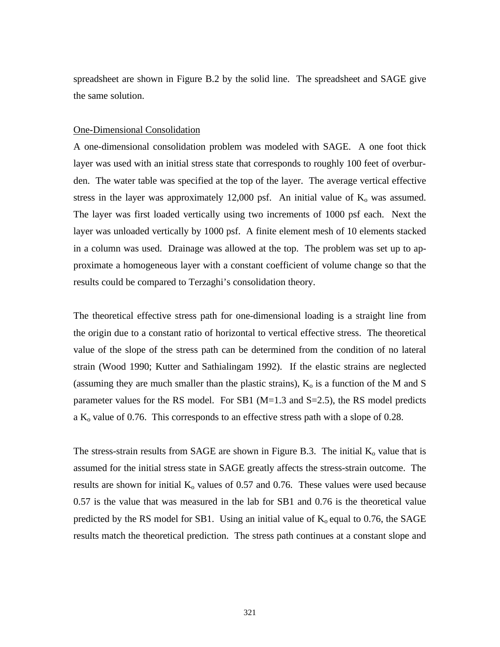spreadsheet are shown in Figure B.2 by the solid line. The spreadsheet and SAGE give the same solution.

## One-Dimensional Consolidation

A one-dimensional consolidation problem was modeled with SAGE. A one foot thick layer was used with an initial stress state that corresponds to roughly 100 feet of overburden. The water table was specified at the top of the layer. The average vertical effective stress in the layer was approximately  $12,000$  psf. An initial value of  $K_0$  was assumed. The layer was first loaded vertically using two increments of 1000 psf each. Next the layer was unloaded vertically by 1000 psf. A finite element mesh of 10 elements stacked in a column was used. Drainage was allowed at the top. The problem was set up to approximate a homogeneous layer with a constant coefficient of volume change so that the results could be compared to Terzaghi's consolidation theory.

The theoretical effective stress path for one-dimensional loading is a straight line from the origin due to a constant ratio of horizontal to vertical effective stress. The theoretical value of the slope of the stress path can be determined from the condition of no lateral strain (Wood 1990; Kutter and Sathialingam 1992). If the elastic strains are neglected (assuming they are much smaller than the plastic strains),  $K_0$  is a function of the M and S parameter values for the RS model. For SB1  $(M=1.3$  and S=2.5), the RS model predicts a  $K_0$  value of 0.76. This corresponds to an effective stress path with a slope of 0.28.

The stress-strain results from SAGE are shown in Figure B.3. The initial  $K_0$  value that is assumed for the initial stress state in SAGE greatly affects the stress-strain outcome. The results are shown for initial  $K_0$  values of 0.57 and 0.76. These values were used because 0.57 is the value that was measured in the lab for SB1 and 0.76 is the theoretical value predicted by the RS model for SB1. Using an initial value of  $K_0$  equal to 0.76, the SAGE results match the theoretical prediction. The stress path continues at a constant slope and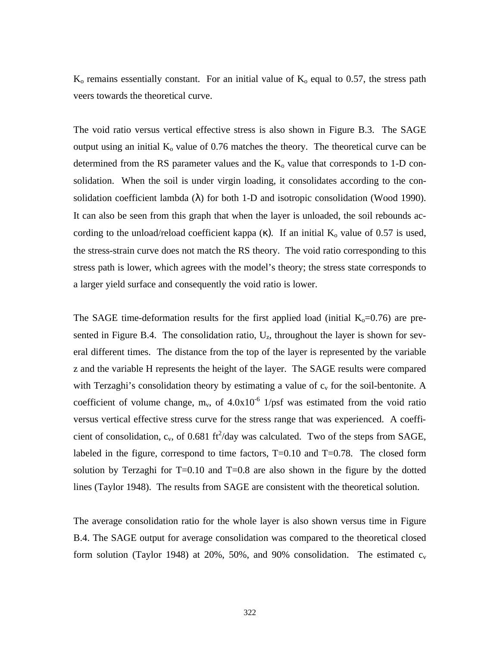$K_0$  remains essentially constant. For an initial value of  $K_0$  equal to 0.57, the stress path veers towards the theoretical curve.

The void ratio versus vertical effective stress is also shown in Figure B.3. The SAGE output using an initial  $K_0$  value of 0.76 matches the theory. The theoretical curve can be determined from the RS parameter values and the  $K_0$  value that corresponds to 1-D consolidation. When the soil is under virgin loading, it consolidates according to the consolidation coefficient lambda ( $\lambda$ ) for both 1-D and isotropic consolidation (Wood 1990). It can also be seen from this graph that when the layer is unloaded, the soil rebounds according to the unload/reload coefficient kappa  $(\kappa)$ . If an initial K<sub>o</sub> value of 0.57 is used, the stress-strain curve does not match the RS theory. The void ratio corresponding to this stress path is lower, which agrees with the model's theory; the stress state corresponds to a larger yield surface and consequently the void ratio is lower.

The SAGE time-deformation results for the first applied load (initial  $K_0=0.76$ ) are presented in Figure B.4. The consolidation ratio,  $U_z$ , throughout the layer is shown for several different times. The distance from the top of the layer is represented by the variable z and the variable H represents the height of the layer. The SAGE results were compared with Terzaghi's consolidation theory by estimating a value of  $c_v$  for the soil-bentonite. A coefficient of volume change,  $m_v$ , of  $4.0x10^{-6}$  1/psf was estimated from the void ratio versus vertical effective stress curve for the stress range that was experienced. A coefficient of consolidation,  $c_v$ , of 0.681 ft<sup>2</sup>/day was calculated. Two of the steps from SAGE, labeled in the figure, correspond to time factors, T=0.10 and T=0.78. The closed form solution by Terzaghi for  $T=0.10$  and  $T=0.8$  are also shown in the figure by the dotted lines (Taylor 1948). The results from SAGE are consistent with the theoretical solution.

The average consolidation ratio for the whole layer is also shown versus time in Figure B.4. The SAGE output for average consolidation was compared to the theoretical closed form solution (Taylor 1948) at 20%, 50%, and 90% consolidation. The estimated  $c_v$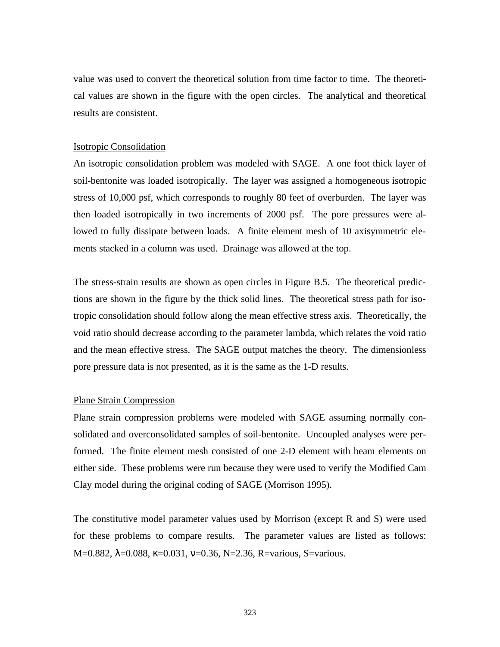value was used to convert the theoretical solution from time factor to time. The theoretical values are shown in the figure with the open circles. The analytical and theoretical results are consistent.

#### Isotropic Consolidation

An isotropic consolidation problem was modeled with SAGE. A one foot thick layer of soil-bentonite was loaded isotropically. The layer was assigned a homogeneous isotropic stress of 10,000 psf, which corresponds to roughly 80 feet of overburden. The layer was then loaded isotropically in two increments of 2000 psf. The pore pressures were allowed to fully dissipate between loads. A finite element mesh of 10 axisymmetric elements stacked in a column was used. Drainage was allowed at the top.

The stress-strain results are shown as open circles in Figure B.5. The theoretical predictions are shown in the figure by the thick solid lines. The theoretical stress path for isotropic consolidation should follow along the mean effective stress axis. Theoretically, the void ratio should decrease according to the parameter lambda, which relates the void ratio and the mean effective stress. The SAGE output matches the theory. The dimensionless pore pressure data is not presented, as it is the same as the 1-D results.

### Plane Strain Compression

Plane strain compression problems were modeled with SAGE assuming normally consolidated and overconsolidated samples of soil-bentonite. Uncoupled analyses were performed. The finite element mesh consisted of one 2-D element with beam elements on either side. These problems were run because they were used to verify the Modified Cam Clay model during the original coding of SAGE (Morrison 1995).

The constitutive model parameter values used by Morrison (except R and S) were used for these problems to compare results. The parameter values are listed as follows: M=0.882,  $\lambda$ =0.088,  $\kappa$ =0.031, v=0.36, N=2.36, R=various, S=various.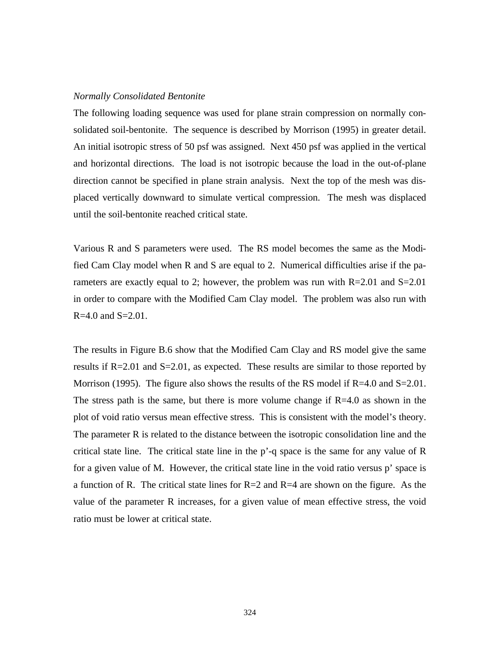## *Normally Consolidated Bentonite*

The following loading sequence was used for plane strain compression on normally consolidated soil-bentonite. The sequence is described by Morrison (1995) in greater detail. An initial isotropic stress of 50 psf was assigned. Next 450 psf was applied in the vertical and horizontal directions. The load is not isotropic because the load in the out-of-plane direction cannot be specified in plane strain analysis. Next the top of the mesh was displaced vertically downward to simulate vertical compression. The mesh was displaced until the soil-bentonite reached critical state.

Various R and S parameters were used. The RS model becomes the same as the Modified Cam Clay model when R and S are equal to 2. Numerical difficulties arise if the parameters are exactly equal to 2; however, the problem was run with  $R=2.01$  and  $S=2.01$ in order to compare with the Modified Cam Clay model. The problem was also run with  $R=4.0$  and  $S=2.01$ .

The results in Figure B.6 show that the Modified Cam Clay and RS model give the same results if R=2.01 and S=2.01, as expected. These results are similar to those reported by Morrison (1995). The figure also shows the results of the RS model if  $R=4.0$  and  $S=2.01$ . The stress path is the same, but there is more volume change if  $R=4.0$  as shown in the plot of void ratio versus mean effective stress. This is consistent with the model's theory. The parameter R is related to the distance between the isotropic consolidation line and the critical state line. The critical state line in the p'-q space is the same for any value of R for a given value of M. However, the critical state line in the void ratio versus p' space is a function of R. The critical state lines for  $R=2$  and  $R=4$  are shown on the figure. As the value of the parameter R increases, for a given value of mean effective stress, the void ratio must be lower at critical state.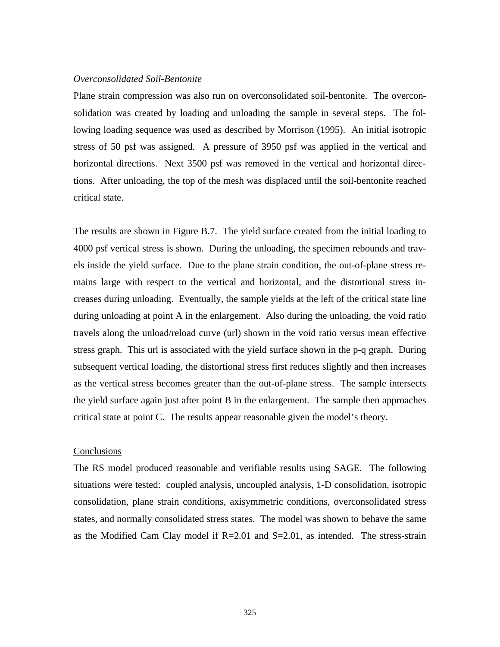## *Overconsolidated Soil-Bentonite*

Plane strain compression was also run on overconsolidated soil-bentonite. The overconsolidation was created by loading and unloading the sample in several steps. The following loading sequence was used as described by Morrison (1995). An initial isotropic stress of 50 psf was assigned. A pressure of 3950 psf was applied in the vertical and horizontal directions. Next 3500 psf was removed in the vertical and horizontal directions. After unloading, the top of the mesh was displaced until the soil-bentonite reached critical state.

The results are shown in Figure B.7. The yield surface created from the initial loading to 4000 psf vertical stress is shown. During the unloading, the specimen rebounds and travels inside the yield surface. Due to the plane strain condition, the out-of-plane stress remains large with respect to the vertical and horizontal, and the distortional stress increases during unloading. Eventually, the sample yields at the left of the critical state line during unloading at point A in the enlargement. Also during the unloading, the void ratio travels along the unload/reload curve (url) shown in the void ratio versus mean effective stress graph. This url is associated with the yield surface shown in the p-q graph. During subsequent vertical loading, the distortional stress first reduces slightly and then increases as the vertical stress becomes greater than the out-of-plane stress. The sample intersects the yield surface again just after point B in the enlargement. The sample then approaches critical state at point C. The results appear reasonable given the model's theory.

## **Conclusions**

The RS model produced reasonable and verifiable results using SAGE. The following situations were tested: coupled analysis, uncoupled analysis, 1-D consolidation, isotropic consolidation, plane strain conditions, axisymmetric conditions, overconsolidated stress states, and normally consolidated stress states. The model was shown to behave the same as the Modified Cam Clay model if  $R=2.01$  and  $S=2.01$ , as intended. The stress-strain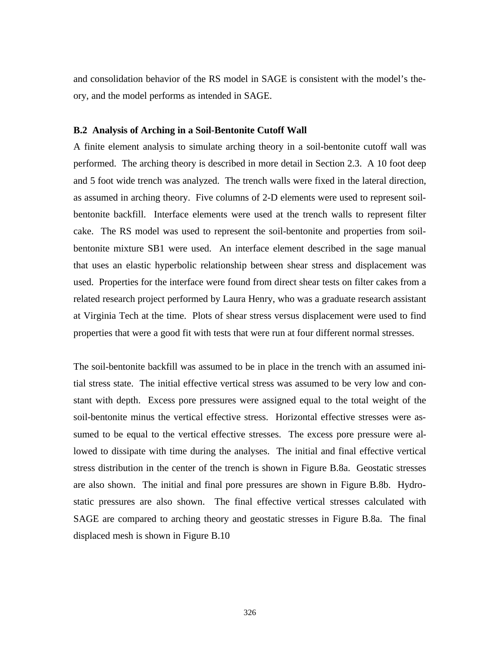and consolidation behavior of the RS model in SAGE is consistent with the model's theory, and the model performs as intended in SAGE.

# **B.2 Analysis of Arching in a Soil-Bentonite Cutoff Wall**

A finite element analysis to simulate arching theory in a soil-bentonite cutoff wall was performed. The arching theory is described in more detail in Section 2.3. A 10 foot deep and 5 foot wide trench was analyzed. The trench walls were fixed in the lateral direction, as assumed in arching theory. Five columns of 2-D elements were used to represent soilbentonite backfill. Interface elements were used at the trench walls to represent filter cake. The RS model was used to represent the soil-bentonite and properties from soilbentonite mixture SB1 were used. An interface element described in the sage manual that uses an elastic hyperbolic relationship between shear stress and displacement was used. Properties for the interface were found from direct shear tests on filter cakes from a related research project performed by Laura Henry, who was a graduate research assistant at Virginia Tech at the time. Plots of shear stress versus displacement were used to find properties that were a good fit with tests that were run at four different normal stresses.

The soil-bentonite backfill was assumed to be in place in the trench with an assumed initial stress state. The initial effective vertical stress was assumed to be very low and constant with depth. Excess pore pressures were assigned equal to the total weight of the soil-bentonite minus the vertical effective stress. Horizontal effective stresses were assumed to be equal to the vertical effective stresses. The excess pore pressure were allowed to dissipate with time during the analyses. The initial and final effective vertical stress distribution in the center of the trench is shown in Figure B.8a. Geostatic stresses are also shown. The initial and final pore pressures are shown in Figure B.8b. Hydrostatic pressures are also shown. The final effective vertical stresses calculated with SAGE are compared to arching theory and geostatic stresses in Figure B.8a. The final displaced mesh is shown in Figure B.10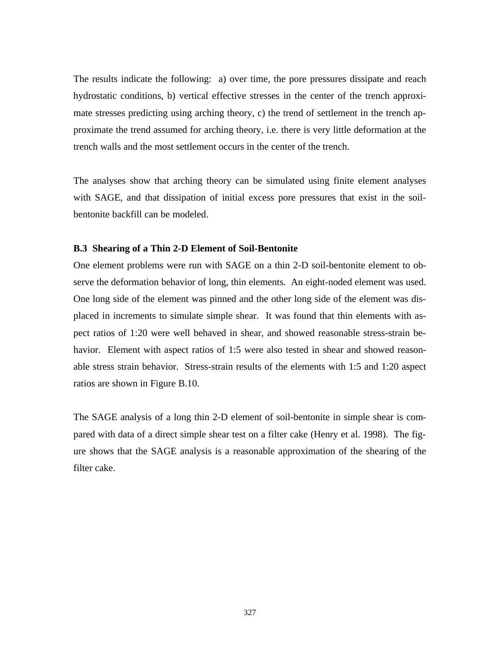The results indicate the following: a) over time, the pore pressures dissipate and reach hydrostatic conditions, b) vertical effective stresses in the center of the trench approximate stresses predicting using arching theory, c) the trend of settlement in the trench approximate the trend assumed for arching theory, i.e. there is very little deformation at the trench walls and the most settlement occurs in the center of the trench.

The analyses show that arching theory can be simulated using finite element analyses with SAGE, and that dissipation of initial excess pore pressures that exist in the soilbentonite backfill can be modeled.

## **B.3 Shearing of a Thin 2-D Element of Soil-Bentonite**

One element problems were run with SAGE on a thin 2-D soil-bentonite element to observe the deformation behavior of long, thin elements. An eight-noded element was used. One long side of the element was pinned and the other long side of the element was displaced in increments to simulate simple shear. It was found that thin elements with aspect ratios of 1:20 were well behaved in shear, and showed reasonable stress-strain behavior. Element with aspect ratios of 1:5 were also tested in shear and showed reasonable stress strain behavior. Stress-strain results of the elements with 1:5 and 1:20 aspect ratios are shown in Figure B.10.

The SAGE analysis of a long thin 2-D element of soil-bentonite in simple shear is compared with data of a direct simple shear test on a filter cake (Henry et al. 1998). The figure shows that the SAGE analysis is a reasonable approximation of the shearing of the filter cake.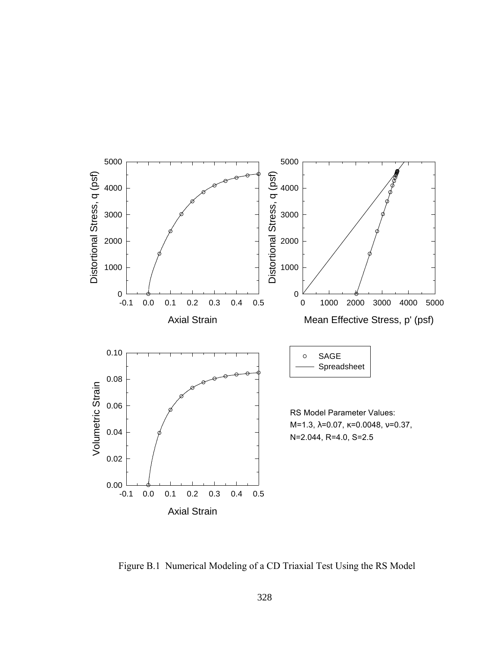

Figure B.1 Numerical Modeling of a CD Triaxial Test Using the RS Model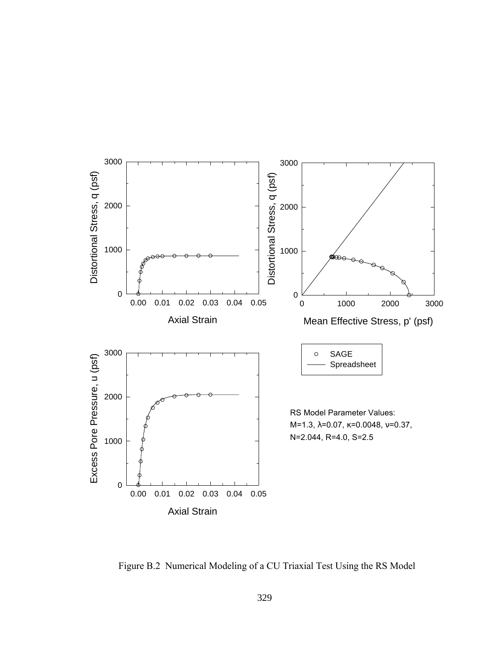

Figure B.2 Numerical Modeling of a CU Triaxial Test Using the RS Model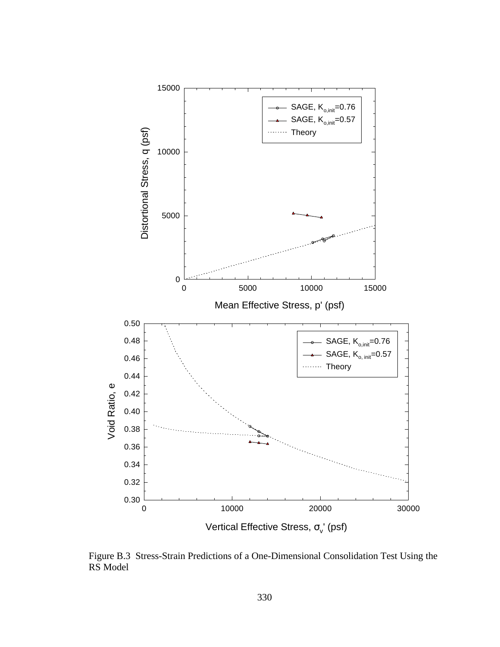

Figure B.3 Stress-Strain Predictions of a One-Dimensional Consolidation Test Using the RS Model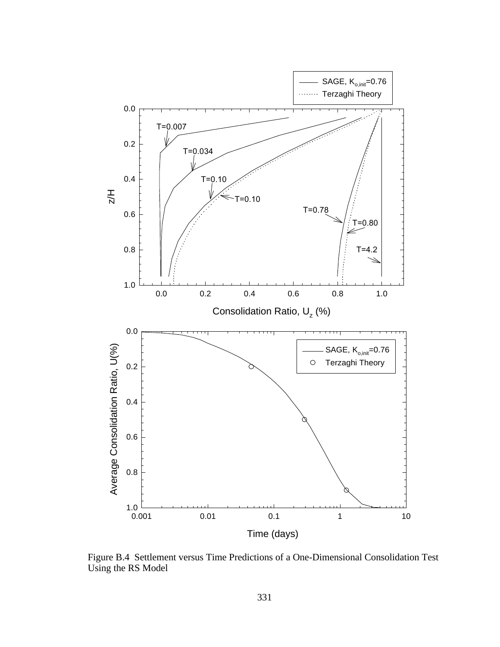

Figure B.4 Settlement versus Time Predictions of a One-Dimensional Consolidation Test Using the RS Model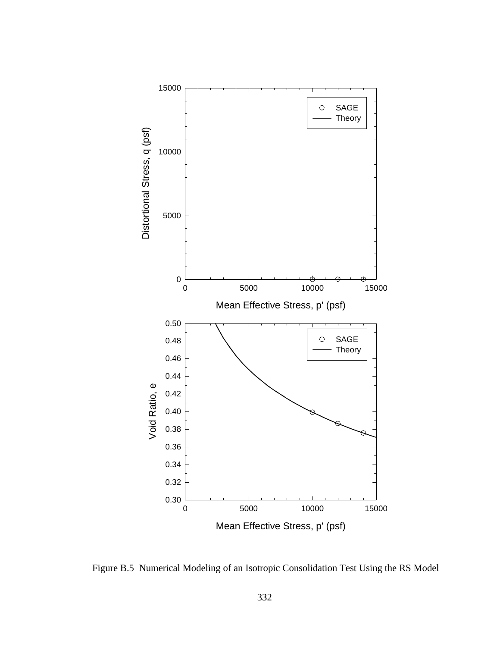

Figure B.5 Numerical Modeling of an Isotropic Consolidation Test Using the RS Model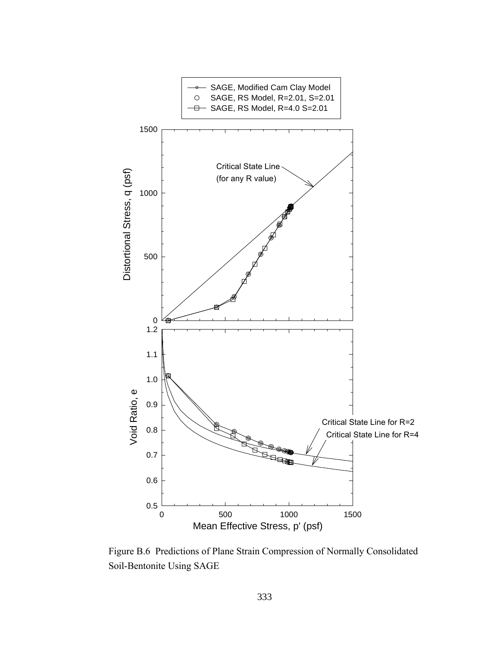

Figure B.6 Predictions of Plane Strain Compression of Normally Consolidated Soil-Bentonite Using SAGE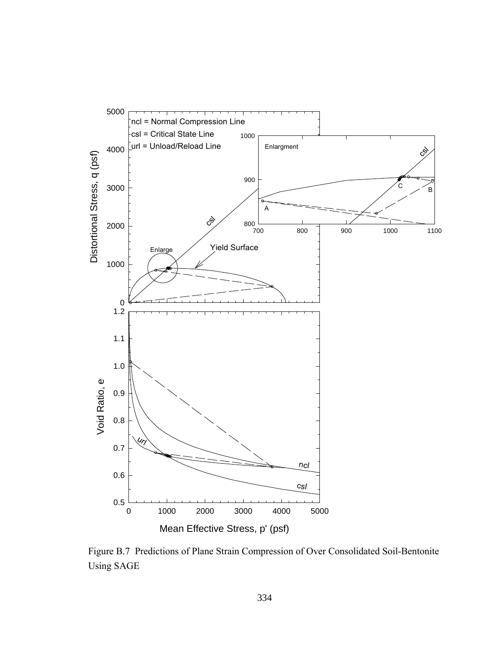

Figure B.7 Predictions of Plane Strain Compression of Over Consolidated Soil-Bentonite Using SAGE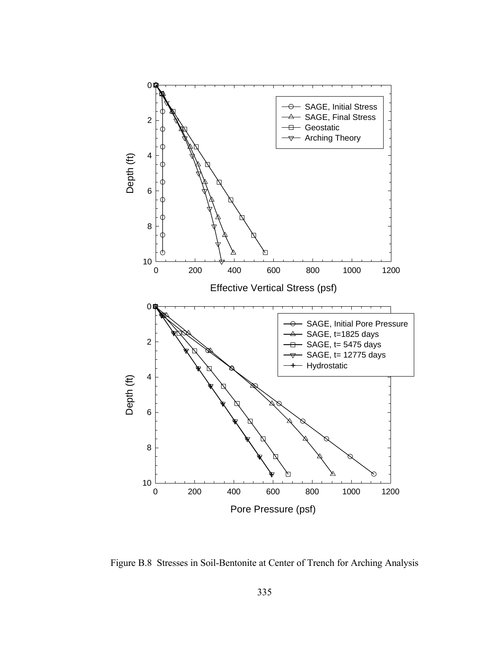

Figure B.8 Stresses in Soil-Bentonite at Center of Trench for Arching Analysis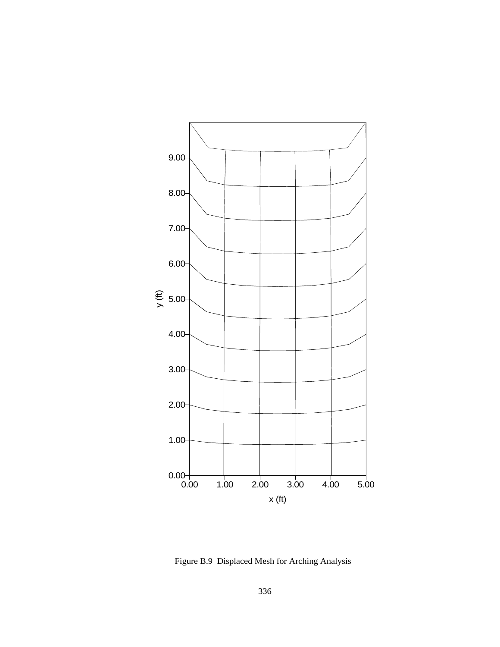

Figure B.9 Displaced Mesh for Arching Analysis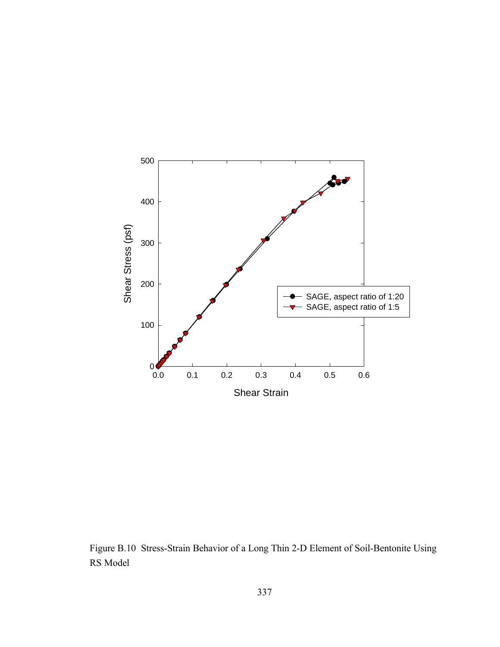

Figure B.10 Stress-Strain Behavior of a Long Thin 2-D Element of Soil-Bentonite Using RS Model